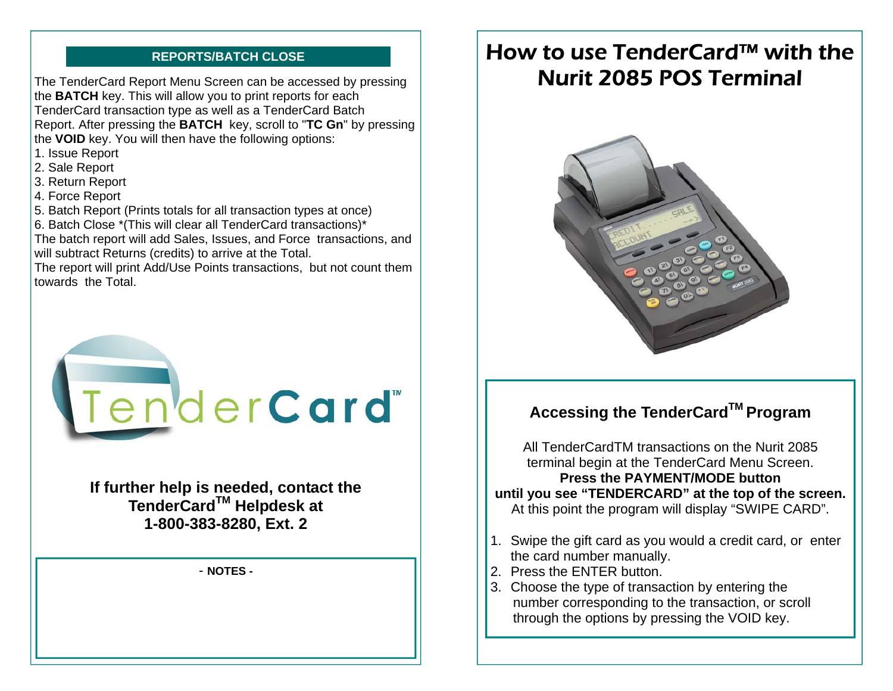The TenderCard Report Menu Screen can be accessed by pressing the **BATCH** key. This will allow you to print reports for each TenderCard transaction type as well as a TenderCard Batch Report. After pressing the **BATCH** key, scroll to "**TC Gn**" by pressing the **VOID** key. You will then have the following options:

- 1. Issue Report
- 2. Sale Report
- 3. Return Report
- 4. Force Report
- 5. Batch Report (Prints totals for all transaction types at once)
- 6. Batch Close \*(This will clear all TenderCard transactions)\*

The batch report will add Sales, Issues, and Force transactions, and will subtract Returns (credits) to arrive at the Total.

The report will print Add/Use Points transactions, but not count them towards the Total.



**If further help is needed, contact the TenderCardTM Helpdesk at 1-800-383-8280, Ext. 2**

#### - **NOTES -**

# **REPORTS/BATCH CLOSE ■ How to use TenderCard™ with the** Nurit 2085 POS Terminal



# **Accessing the TenderCardTM Program**

All TenderCardTM transactions on the Nurit 2085 terminal begin at the TenderCard Menu Screen. **Press the PAYMENT/MODE button until you see "TENDERCARD" at the top of the screen.**  At this point the program will display "SWIPE CARD".

- 1. Swipe the gift card as you would a credit card, or enter the card number manually.
- 2. Press the ENTER button.
- 3. Choose the type of transaction by entering the number corresponding to the transaction, or scroll through the options by pressing the VOID key.